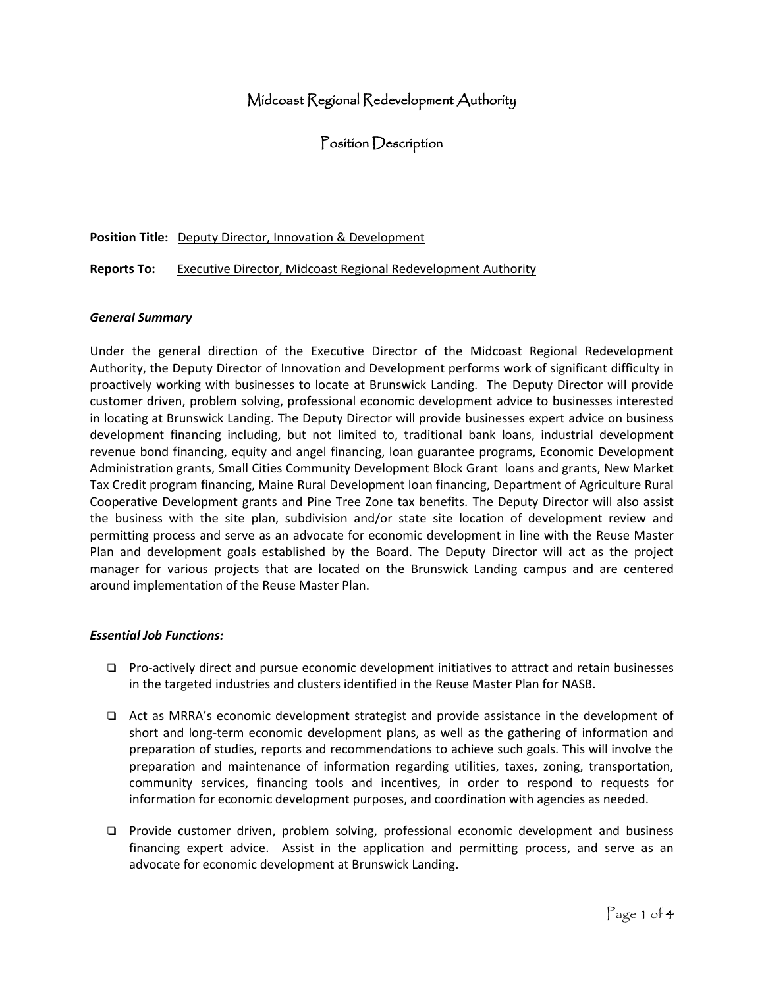# Midcoast Regional Redevelopment Authority

Position Description

#### **Position Title:** Deputy Director, Innovation & Development

#### **Reports To:** Executive Director, Midcoast Regional Redevelopment Authority

#### *General Summary*

Under the general direction of the Executive Director of the Midcoast Regional Redevelopment Authority, the Deputy Director of Innovation and Development performs work of significant difficulty in proactively working with businesses to locate at Brunswick Landing. The Deputy Director will provide customer driven, problem solving, professional economic development advice to businesses interested in locating at Brunswick Landing. The Deputy Director will provide businesses expert advice on business development financing including, but not limited to, traditional bank loans, industrial development revenue bond financing, equity and angel financing, loan guarantee programs, Economic Development Administration grants, Small Cities Community Development Block Grant loans and grants, New Market Tax Credit program financing, Maine Rural Development loan financing, Department of Agriculture Rural Cooperative Development grants and Pine Tree Zone tax benefits. The Deputy Director will also assist the business with the site plan, subdivision and/or state site location of development review and permitting process and serve as an advocate for economic development in line with the Reuse Master Plan and development goals established by the Board. The Deputy Director will act as the project manager for various projects that are located on the Brunswick Landing campus and are centered around implementation of the Reuse Master Plan.

#### *Essential Job Functions:*

- ❑ Pro-actively direct and pursue economic development initiatives to attract and retain businesses in the targeted industries and clusters identified in the Reuse Master Plan for NASB.
- ❑ Act as MRRA's economic development strategist and provide assistance in the development of short and long-term economic development plans, as well as the gathering of information and preparation of studies, reports and recommendations to achieve such goals. This will involve the preparation and maintenance of information regarding utilities, taxes, zoning, transportation, community services, financing tools and incentives, in order to respond to requests for information for economic development purposes, and coordination with agencies as needed.
- ❑ Provide customer driven, problem solving, professional economic development and business financing expert advice. Assist in the application and permitting process, and serve as an advocate for economic development at Brunswick Landing.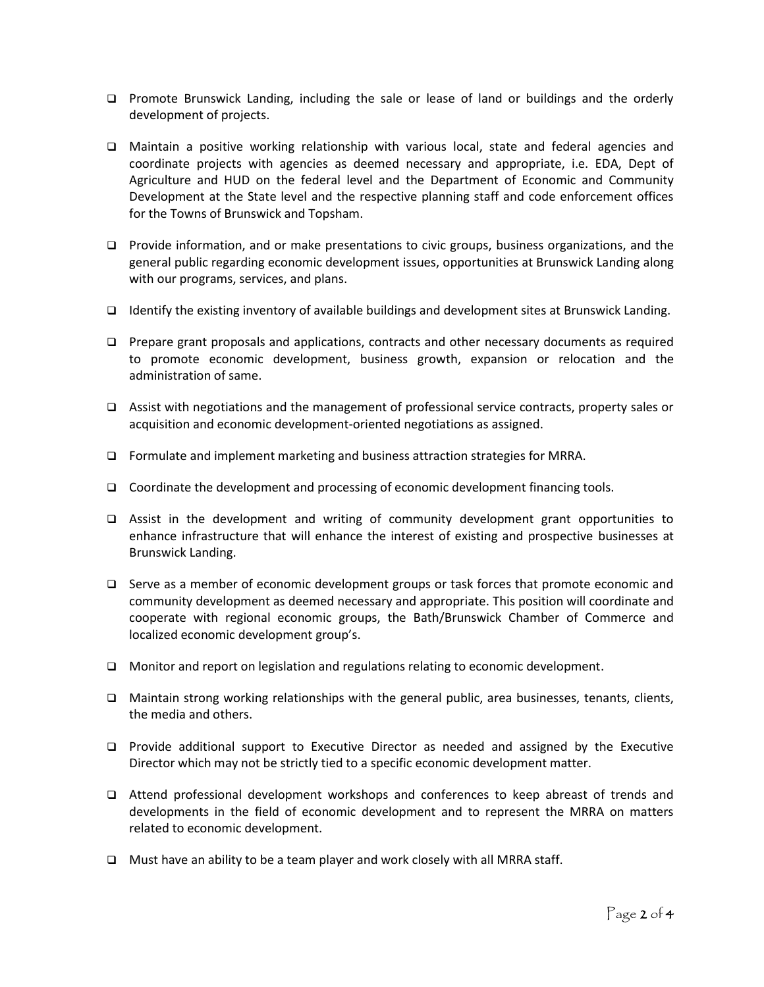- ❑ Promote Brunswick Landing, including the sale or lease of land or buildings and the orderly development of projects.
- ❑ Maintain a positive working relationship with various local, state and federal agencies and coordinate projects with agencies as deemed necessary and appropriate, i.e. EDA, Dept of Agriculture and HUD on the federal level and the Department of Economic and Community Development at the State level and the respective planning staff and code enforcement offices for the Towns of Brunswick and Topsham.
- ❑ Provide information, and or make presentations to civic groups, business organizations, and the general public regarding economic development issues, opportunities at Brunswick Landing along with our programs, services, and plans.
- ❑ Identify the existing inventory of available buildings and development sites at Brunswick Landing.
- ❑ Prepare grant proposals and applications, contracts and other necessary documents as required to promote economic development, business growth, expansion or relocation and the administration of same.
- ❑ Assist with negotiations and the management of professional service contracts, property sales or acquisition and economic development-oriented negotiations as assigned.
- ❑ Formulate and implement marketing and business attraction strategies for MRRA.
- ❑ Coordinate the development and processing of economic development financing tools.
- ❑ Assist in the development and writing of community development grant opportunities to enhance infrastructure that will enhance the interest of existing and prospective businesses at Brunswick Landing.
- ❑ Serve as a member of economic development groups or task forces that promote economic and community development as deemed necessary and appropriate. This position will coordinate and cooperate with regional economic groups, the Bath/Brunswick Chamber of Commerce and localized economic development group's.
- ❑ Monitor and report on legislation and regulations relating to economic development.
- ❑ Maintain strong working relationships with the general public, area businesses, tenants, clients, the media and others.
- ❑ Provide additional support to Executive Director as needed and assigned by the Executive Director which may not be strictly tied to a specific economic development matter.
- ❑ Attend professional development workshops and conferences to keep abreast of trends and developments in the field of economic development and to represent the MRRA on matters related to economic development.
- ❑ Must have an ability to be a team player and work closely with all MRRA staff.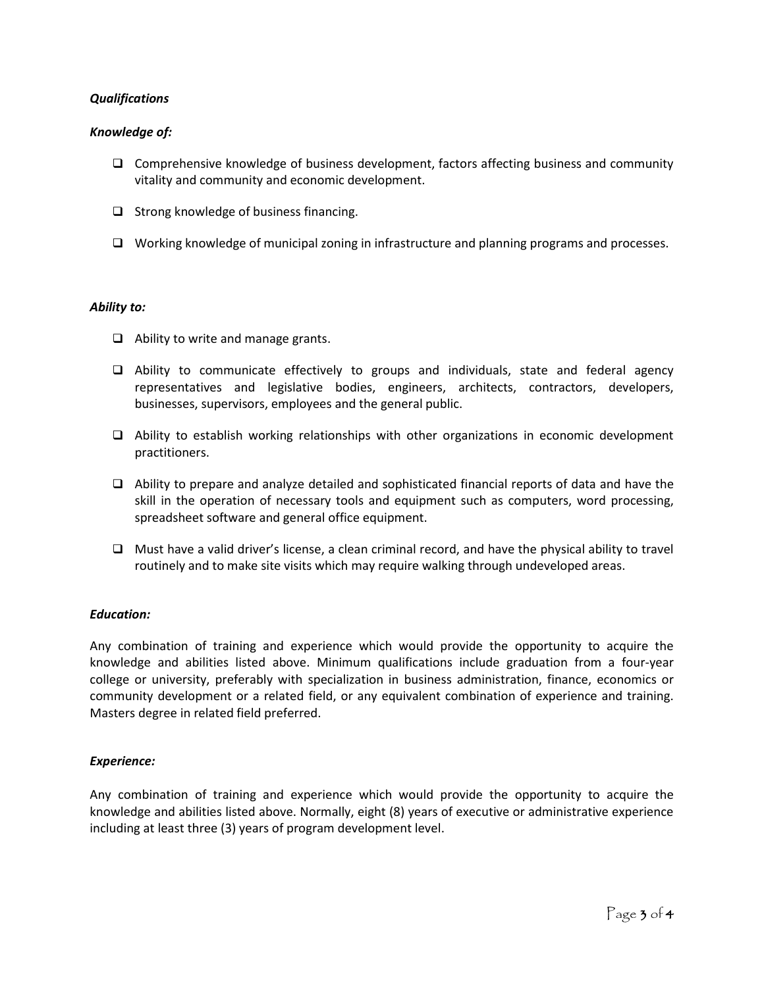# *Qualifications*

# *Knowledge of:*

- ❑ Comprehensive knowledge of business development, factors affecting business and community vitality and community and economic development.
- ❑ Strong knowledge of business financing.
- ❑ Working knowledge of municipal zoning in infrastructure and planning programs and processes.

# *Ability to:*

- ❑ Ability to write and manage grants.
- ❑ Ability to communicate effectively to groups and individuals, state and federal agency representatives and legislative bodies, engineers, architects, contractors, developers, businesses, supervisors, employees and the general public.
- ❑ Ability to establish working relationships with other organizations in economic development practitioners.
- ❑ Ability to prepare and analyze detailed and sophisticated financial reports of data and have the skill in the operation of necessary tools and equipment such as computers, word processing, spreadsheet software and general office equipment.
- ❑ Must have a valid driver's license, a clean criminal record, and have the physical ability to travel routinely and to make site visits which may require walking through undeveloped areas.

# *Education:*

Any combination of training and experience which would provide the opportunity to acquire the knowledge and abilities listed above. Minimum qualifications include graduation from a four-year college or university, preferably with specialization in business administration, finance, economics or community development or a related field, or any equivalent combination of experience and training. Masters degree in related field preferred.

# *Experience:*

Any combination of training and experience which would provide the opportunity to acquire the knowledge and abilities listed above. Normally, eight (8) years of executive or administrative experience including at least three (3) years of program development level.